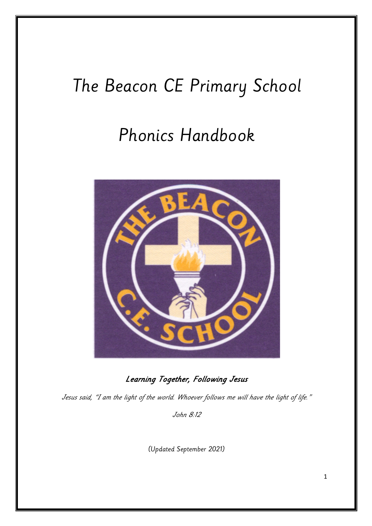# The Beacon CE Primary School

## Phonics Handbook



Learning Together, Following Jesus

Jesus said, "I am the light of the world. Whoever follows me will have the light of life."

John 8:12

(Updated September 2021)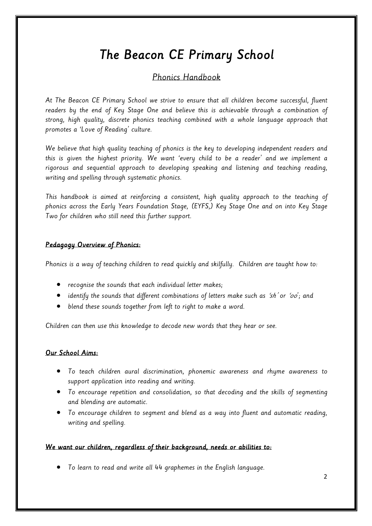## The Beacon CE Primary School

## Phonics Handbook

At The Beacon CE Primary School we strive to ensure that all children become successful, fluent readers by the end of Key Stage One and believe this is achievable through a combination of strong, high quality, discrete phonics teaching combined with a whole language approach that promotes a 'Love of Reading' culture.

We believe that high quality teaching of phonics is the key to developing independent readers and this is given the highest priority. We want 'every child to be a reader' and we implement a rigorous and sequential approach to developing speaking and listening and teaching reading, writing and spelling through systematic phonics.

This handbook is aimed at reinforcing a consistent, high quality approach to the teaching of phonics across the Early Years Foundation Stage, (EYFS,) Key Stage One and on into Key Stage Two for children who still need this further support.

## Pedagogy Overview of Phonics:

Phonics is a way of teaching children to read quickly and skilfully. Children are taught how to:

- recognise the sounds that each individual letter makes;
- $\bullet$  identify the sounds that different combinations of letters make such as 'sh' or 'oo'; and
- blend these sounds together from left to right to make a word.

Children can then use this knowledge to decode new words that they hear or see.

## Our School Aims:

- To teach children aural discrimination, phonemic awareness and rhyme awareness to support application into reading and writing.
- To encourage repetition and consolidation, so that decoding and the skills of segmenting and blending are automatic.
- To encourage children to segment and blend as a way into fluent and automatic reading, writing and spelling.

## We want our children, regardless of their background, needs or abilities to:

• To learn to read and write all 44 graphemes in the English language.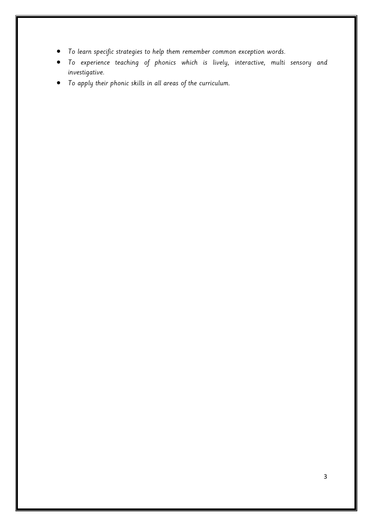- To learn specific strategies to help them remember common exception words.
- To experience teaching of phonics which is lively, interactive, multi sensory and investigative.
- To apply their phonic skills in all areas of the curriculum.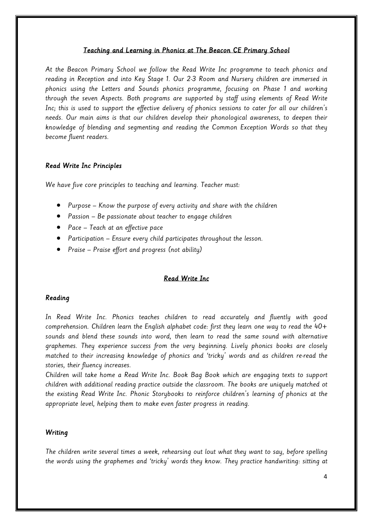#### Teaching and Learning in Phonics at The Beacon CE Primary School

At the Beacon Primary School we follow the Read Write Inc programme to teach phonics and reading in Reception and into Key Stage 1. Our 2-3 Room and Nursery children are immersed in phonics using the Letters and Sounds phonics programme, focusing on Phase 1 and working through the seven Aspects. Both programs are supported by staff using elements of Read Write Inc; this is used to support the effective delivery of phonics sessions to cater for all our children's needs. Our main aims is that our children develop their phonological awareness, to deepen their knowledge of blending and segmenting and reading the Common Exception Words so that they become fluent readers.

#### Read Write Inc Principles

We have five core principles to teaching and learning. Teacher must:

- Purpose Know the purpose of every activity and share with the children
- Passion Be passionate about teacher to engage children
- Pace Teach at an effective pace
- Participation Ensure every child participates throughout the lesson.
- Praise Praise effort and progress (not ability)

## Read Write Inc

#### Reading

In Read Write Inc. Phonics teaches children to read accurately and fluently with good comprehension. Children learn the English alphabet code: first they learn one way to read the 40+ sounds and blend these sounds into word, then learn to read the same sound with alternative graphemes. They experience success from the very beginning. Lively phonics books are closely matched to their increasing knowledge of phonics and 'tricky' words and as children re-read the stories, their fluency increases.

Children will take home a Read Write Inc. Book Bag Book which are engaging texts to support children with additional reading practice outside the classroom. The books are uniquely matched ot the existing Read Write Inc. Phonic Storybooks to reinforce children's learning of phonics at the appropriate level, helping them to make even faster progress in reading.

#### **Writing**

The children write several times a week, rehearsing out lout what they want to say, before spelling the words using the graphemes and 'tricky' words they know. They practice handwriting: sitting at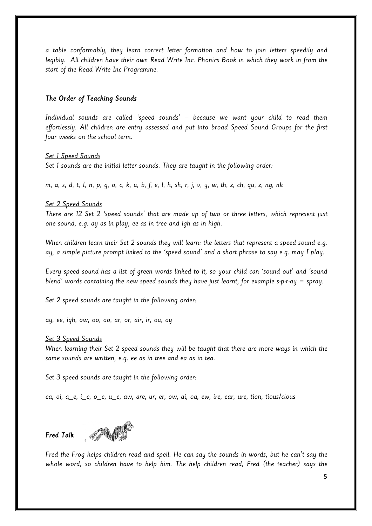a table conformably, they learn correct letter formation and how to join letters speedily and legibly. All children have their own Read Write Inc. Phonics Book in which they work in from the start of the Read Write Inc Programme.

## The Order of Teaching Sounds

Individual sounds are called 'speed sounds' – because we want your child to read them effortlessly. All children are entry assessed and put into broad Speed Sound Groups for the first four weeks on the school term.

#### Set 1 Speed Sounds

Set 1 sounds are the initial letter sounds. They are taught in the following order:

m, a, s, d, t, I, n, p, g, o, c, k, u, b, f, e, l, h, sh, r, j, v, y, w, th, z, ch, qu, z, ng, nk

#### Set 2 Speed Sounds

There are 12 Set 2 'speed sounds' that are made up of two or three letters, which represent just one sound, e.g. ay as in play, ee as in tree and igh as in high.

When children learn their Set 2 sounds they will learn: the letters that represent a speed sound e.g. ay, a simple picture prompt linked to the 'speed sound' and a short phrase to say e.g. may I play.

Every speed sound has a list of green words linked to it, so your child can 'sound out' and 'sound blend' words containing the new speed sounds they have just learnt, for example s-p-r-ay = spray.

Set 2 speed sounds are taught in the following order:

ay, ee, igh, ow, oo, oo, ar, or, air, ir, ou, oy

#### Set 3 Speed Sounds

When learning their Set 2 speed sounds they will be taught that there are more ways in which the same sounds are written, e.g. ee as in tree and ea as in tea.

Set 3 speed sounds are taught in the following order:

ea, oi, a\_e, i\_e, o\_e, u\_e, aw, are, ur, er, ow, ai, oa, ew, ire, ear, ure, tion, tious/cious

Fred Talk



Fred the Frog helps children read and spell. He can say the sounds in words, but he can't say the whole word, so children have to help him. The help children read, Fred (the teacher) says the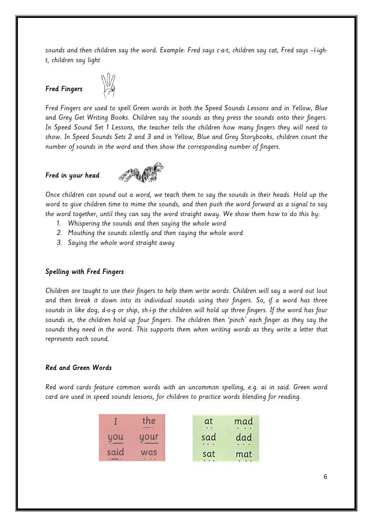sounds and then children say the word. Example: Fred says c-a-t, children say cat, Fred says –l-ight, children say light

## Fred Fingers



Fred Fingers are used to spell Green words in both the Speed Sounds Lessons and in Yellow, Blue and Grey Get Writing Books. Children say the sounds as they press the sounds onto their fingers. In Speed Sound Set 1 Lessons, the teacher tells the children how many fingers they will need to show. In Speed Sounds Sets 2 and 3 and in Yellow, Blue and Grey Storybooks, children count the number of sounds in the word and then show the corresponding number of fingers.

## Fred in your head



Once children can sound out a word, we teach them to say the sounds in their heads. Hold up the word to give children time to mime the sounds, and then push the word forward as a signal to say the word together, until they can say the word straight away. We show them how to do this by:

- 1. Whispering the sounds and then saying the whole word
- 2. Mouthing the sounds silently and then saying the whole word
- 3. Saying the whole word straight away

#### Spelling with Fred Fingers

Children are taught to use their fingers to help them write words. Children will say a word out lout and then break it down into its individual sounds using their fingers. So, if a word has three sounds in like dog, d-o-g or ship, sh-i-p the children will hold up three fingers. If the word has four sounds in, the children hold up four fingers. The children then 'pinch' each finger as they say the sounds they need in the word. This supports them when writing words as they write a letter that represents each sound.

#### Red and Green Words

Red word cards feature common words with an uncommon spelling, e.g. ai in said. Green word card are used in speed sounds lessons, for children to practice words blending for reading.

|      | the  | at<br>. .       | mad |
|------|------|-----------------|-----|
| you  | uour | sad<br>$\cdots$ | dad |
| said | was  | sat<br>$\cdots$ | mat |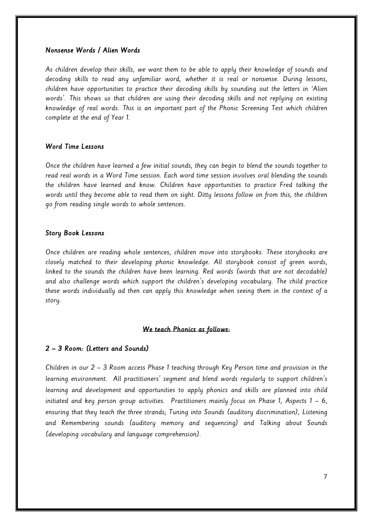#### Nonsense Words / Alien Words

As children develop their skills, we want them to be able to apply their knowledge of sounds and decoding skills to read any unfamiliar word, whether it is real or nonsense. During lessons, children have opportunities to practice their decoding skills by sounding out the letters in 'Alien words'. This shows us that children are using their decoding skills and not replying on existing knowledge of real words. This is an important part of the Phonic Screening Test which children complete at the end of Year 1.

#### Word Time Lessons

Once the children have learned a few initial sounds, they can begin to blend the sounds together to read real words in a Word Time session. Each word time session involves oral blending the sounds the children have learned and know. Children have opportunities to practice Fred talking the words until they become able to read them on sight. Ditty lessons follow on from this, the children go from reading single words to whole sentences.

#### Story Book Lessons

Once children are reading whole sentences, children move into storybooks. These storybooks are closely matched to their developing phonic knowledge. All storybook consist of green words, linked to the sounds the children have been learning. Red words (words that are not decodable) and also challenge words which support the children's developing vocabulary. The child practice these words individually ad then can apply this knowledge when seeing them in the context of a story.

#### We teach Phonics as follows:

#### 2 – 3 Room: (Letters and Sounds)

Children in our 2 – 3 Room access Phase 1 teaching through Key Person time and provision in the learning environment. All practitioners' segment and blend words regularly to support children's learning and development and opportunities to apply phonics and skills are planned into child initiated and key person group activities. Practitioners mainly focus on Phase 1, Aspects  $1 - 6$ , ensuring that they teach the three strands; Tuning into Sounds (auditory discrimination), Listening and Remembering sounds (auditory memory and sequencing) and Talking about Sounds (developing vocabulary and language comprehension).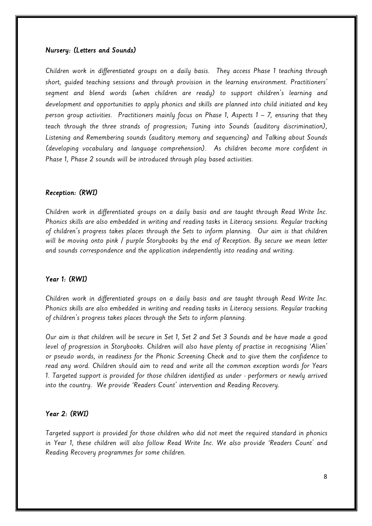#### Nursery: (Letters and Sounds)

Children work in differentiated groups on a daily basis. They access Phase 1 teaching through short, guided teaching sessions and through provision in the learning environment. Practitioners' segment and blend words (when children are ready) to support children's learning and development and opportunities to apply phonics and skills are planned into child initiated and key person group activities. Practitioners mainly focus on Phase 1, Aspects 1 – 7, ensuring that they teach through the three strands of progression; Tuning into Sounds (auditory discrimination), Listening and Remembering sounds (auditory memory and sequencing) and Talking about Sounds (developing vocabulary and language comprehension). As children become more confident in Phase 1, Phase 2 sounds will be introduced through play based activities.

#### Reception: (RWI)

Children work in differentiated groups on a daily basis and are taught through Read Write Inc. Phonics skills are also embedded in writing and reading tasks in Literacy sessions. Regular tracking of children's progress takes places through the Sets to inform planning. Our aim is that children will be moving onto pink / purple Storybooks by the end of Reception. By secure we mean letter and sounds correspondence and the application independently into reading and writing.

#### Year 1: (RWI)

Children work in differentiated groups on a daily basis and are taught through Read Write Inc. Phonics skills are also embedded in writing and reading tasks in Literacy sessions. Regular tracking of children's progress takes places through the Sets to inform planning.

Our aim is that children will be secure in Set 1, Set 2 and Set 3 Sounds and be have made a good level of progression in Storybooks. Children will also have plenty of practise in recognising 'Alien' or pseudo words, in readiness for the Phonic Screening Check and to give them the confidence to read any word. Children should aim to read and write all the common exception words for Years 1. Targeted support is provided for those children identified as under - performers or newly arrived into the country. We provide 'Readers Count' intervention and Reading Recovery.

#### Year 2: (RWI)

Targeted support is provided for those children who did not meet the required standard in phonics in Year 1, these children will also follow Read Write Inc. We also provide 'Readers Count' and Reading Recovery programmes for some children.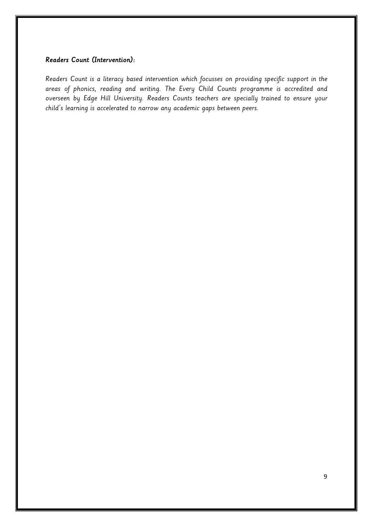## Readers Count (Intervention):

Readers Count is a literacy based intervention which focusses on providing specific support in the areas of phonics, reading and writing. The Every Child Counts programme is accredited and overseen by Edge Hill University. Readers Counts teachers are specially trained to ensure your child's learning is accelerated to narrow any academic gaps between peers.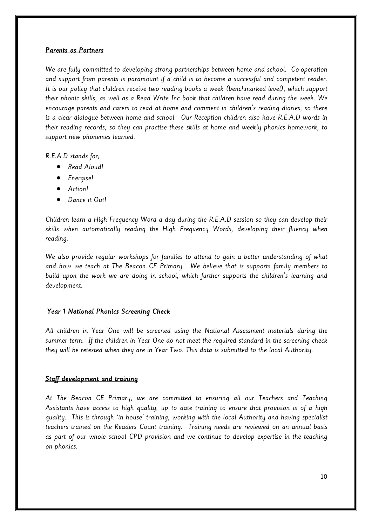## Parents as Partners

We are fully committed to developing strong partnerships between home and school. Co-operation and support from parents is paramount if a child is to become a successful and competent reader. It is our policy that children receive two reading books a week (benchmarked level), which support their phonic skills, as well as a Read Write Inc book that children have read during the week. We encourage parents and carers to read at home and comment in children's reading diaries, so there is a clear dialogue between home and school. Our Reception children also have R.E.A.D words in their reading records, so they can practise these skills at home and weekly phonics homework, to support new phonemes learned.

R.E.A.D stands for;

- Read Aloud!
- Energise!
- Action!
- Dance it Out!

Children learn a High Frequency Word a day during the R.E.A.D session so they can develop their skills when automatically reading the High Frequency Words, developing their fluency when reading.

We also provide regular workshops for families to attend to gain a better understanding of what and how we teach at The Beacon CE Primary. We believe that is supports family members to build upon the work we are doing in school, which further supports the children's learning and development.

## Year 1 National Phonics Screening Check

All children in Year One will be screened using the National Assessment materials during the summer term. If the children in Year One do not meet the required standard in the screening check they will be retested when they are in Year Two. This data is submitted to the local Authority.

## Staff development and training

At The Beacon CE Primary, we are committed to ensuring all our Teachers and Teaching Assistants have access to high quality, up to date training to ensure that provision is of a high quality. This is through 'in house' training, working with the local Authority and having specialist teachers trained on the Readers Count training. Training needs are reviewed on an annual basis as part of our whole school CPD provision and we continue to develop expertise in the teaching on phonics.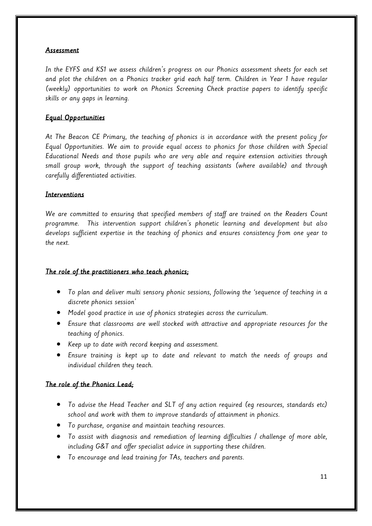## Assessment

In the EYFS and KS1 we assess children's progress on our Phonics assessment sheets for each set and plot the children on a Phonics tracker grid each half term. Children in Year 1 have regular (weekly) opportunities to work on Phonics Screening Check practise papers to identify specific skills or any gaps in learning.

## Equal Opportunities

At The Beacon CE Primary, the teaching of phonics is in accordance with the present policy for Equal Opportunities. We aim to provide equal access to phonics for those children with Special Educational Needs and those pupils who are very able and require extension activities through small group work, through the support of teaching assistants (where available) and through carefully differentiated activities.

## **Interventions**

We are committed to ensuring that specified members of staff are trained on the Readers Count programme. This intervention support children's phonetic learning and development but also develops sufficient expertise in the teaching of phonics and ensures consistency from one year to the next.

## The role of the practitioners who teach phonics;

- To plan and deliver multi sensory phonic sessions, following the 'sequence of teaching in a discrete phonics session'
- Model good practice in use of phonics strategies across the curriculum.
- Ensure that classrooms are well stocked with attractive and appropriate resources for the teaching of phonics.
- Keep up to date with record keeping and assessment.
- Ensure training is kept up to date and relevant to match the needs of groups and individual children they teach.

## The role of the Phonics Lead;

- To advise the Head Teacher and SLT of any action required (eg resources, standards etc) school and work with them to improve standards of attainment in phonics.
- To purchase, organise and maintain teaching resources.
- To assist with diagnosis and remediation of learning difficulties / challenge of more able, including G&T and offer specialist advice in supporting these children.
- To encourage and lead training for TAs, teachers and parents.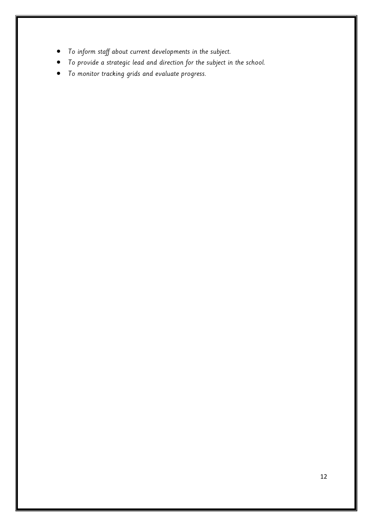- To inform staff about current developments in the subject.
- To provide a strategic lead and direction for the subject in the school.
- To monitor tracking grids and evaluate progress.